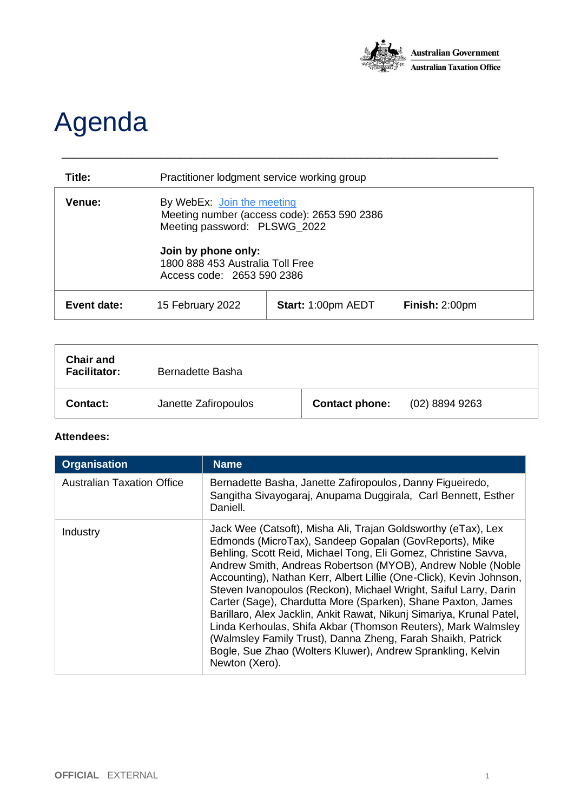

## Agenda

| Title:             | Practitioner lodgment service working group                                                               |                           |                |
|--------------------|-----------------------------------------------------------------------------------------------------------|---------------------------|----------------|
| <b>Venue:</b>      | By WebEx: Join the meeting<br>Meeting number (access code): 2653 590 2386<br>Meeting password: PLSWG_2022 |                           |                |
|                    | Join by phone only:<br>1800 888 453 Australia Toll Free<br>Access code: 2653 590 2386                     |                           |                |
| <b>Event date:</b> | 15 February 2022                                                                                          | <b>Start: 1:00pm AEDT</b> | Finish: 2:00pm |

\_\_\_\_\_\_\_\_\_\_\_\_\_\_\_\_\_\_\_\_\_\_\_\_\_\_\_\_\_\_\_\_\_\_\_\_\_\_\_\_\_\_\_\_\_\_\_\_\_\_\_\_\_\_\_\_\_\_\_\_\_\_\_\_\_\_\_\_\_\_\_\_\_\_

| <b>Chair and</b><br><b>Facilitator:</b> | Bernadette Basha     |                       |                  |
|-----------------------------------------|----------------------|-----------------------|------------------|
| Contact:                                | Janette Zafiropoulos | <b>Contact phone:</b> | $(02)$ 8894 9263 |

## **Attendees:**

| <b>Organisation</b>               | <b>Name</b>                                                                                                                                                                                                                                                                                                                                                                                                                                                                                                                                                                                                                                                                                                                                                  |
|-----------------------------------|--------------------------------------------------------------------------------------------------------------------------------------------------------------------------------------------------------------------------------------------------------------------------------------------------------------------------------------------------------------------------------------------------------------------------------------------------------------------------------------------------------------------------------------------------------------------------------------------------------------------------------------------------------------------------------------------------------------------------------------------------------------|
| <b>Australian Taxation Office</b> | Bernadette Basha, Janette Zafiropoulos, Danny Figueiredo,<br>Sangitha Sivayogaraj, Anupama Duggirala, Carl Bennett, Esther<br>Daniell.                                                                                                                                                                                                                                                                                                                                                                                                                                                                                                                                                                                                                       |
| Industry                          | Jack Wee (Catsoft), Misha Ali, Trajan Goldsworthy (eTax), Lex<br>Edmonds (MicroTax), Sandeep Gopalan (GovReports), Mike<br>Behling, Scott Reid, Michael Tong, Eli Gomez, Christine Savva,<br>Andrew Smith, Andreas Robertson (MYOB), Andrew Noble (Noble<br>Accounting), Nathan Kerr, Albert Lillie (One-Click), Kevin Johnson,<br>Steven Ivanopoulos (Reckon), Michael Wright, Saiful Larry, Darin<br>Carter (Sage), Chardutta More (Sparken), Shane Paxton, James<br>Barillaro, Alex Jacklin, Ankit Rawat, Nikunj Simariya, Krunal Patel,<br>Linda Kerhoulas, Shifa Akbar (Thomson Reuters), Mark Walmsley<br>(Walmsley Family Trust), Danna Zheng, Farah Shaikh, Patrick<br>Bogle, Sue Zhao (Wolters Kluwer), Andrew Sprankling, Kelvin<br>Newton (Xero). |